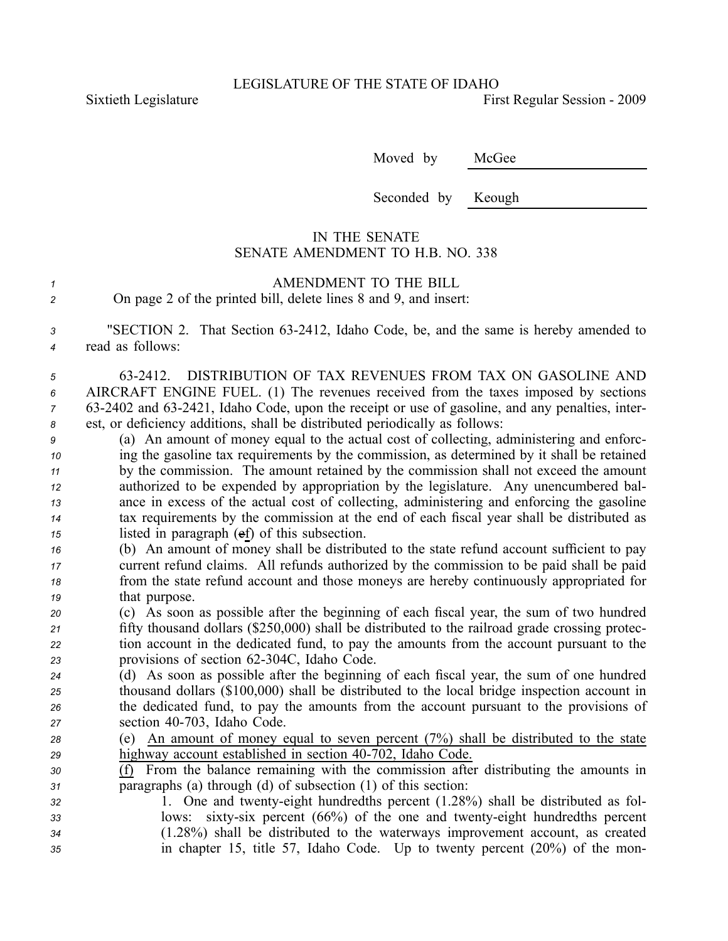Sixtieth Legislature First Regular Session - 2009

Moved by McGee

Seconded by Keough

## IN THE SENATE SENATE AMENDMENT TO H.B. NO. 338

| AMENDMENT TO THE BILL                                            |
|------------------------------------------------------------------|
| On page 2 of the printed bill, delete lines 8 and 9, and insert: |

*<sup>3</sup>* "SECTION 2. That Section 632412, Idaho Code, be, and the same is hereby amended to *<sup>4</sup>* read as follows:

 632412. DISTRIBUTION OF TAX REVENUES FROM TAX ON GASOLINE AND AIRCRAFT ENGINE FUEL. (1) The revenues received from the taxes imposed by sections 632402 and 632421, Idaho Code, upon the receipt or use of gasoline, and any penalties, inter-est, or deficiency additions, shall be distributed periodically as follows:

 (a) An amount of money equal to the actual cost of collecting, administering and enforc- ing the gasoline tax requirements by the commission, as determined by it shall be retained by the commission. The amount retained by the commission shall not exceed the amount authorized to be expended by appropriation by the legislature. Any unencumbered bal- ance in excess of the actual cost of collecting, administering and enforcing the gasoline tax requirements by the commission at the end of each fiscal year shall be distributed as listed in paragraph (ef) of this subsection.

 (b) An amount of money shall be distributed to the state refund account sufficient to pay current refund claims. All refunds authorized by the commission to be paid shall be paid from the state refund account and those moneys are hereby continuously appropriated for that purpose.

 (c) As soon as possible after the beginning of each fiscal year, the sum of two hundred fifty thousand dollars (\$250,000) shall be distributed to the railroad grade crossing protec- tion account in the dedicated fund, to pay the amounts from the account pursuan<sup>t</sup> to the 23 provisions of section 62-304C, Idaho Code.

 (d) As soon as possible after the beginning of each fiscal year, the sum of one hundred thousand dollars (\$100,000) shall be distributed to the local bridge inspection account in the dedicated fund, to pay the amounts from the account pursuan<sup>t</sup> to the provisions of z<sup>7</sup> section 40-703, Idaho Code.

- *<sup>28</sup>* (e) An amount of money equal to seven percen<sup>t</sup> (7%) shall be distributed to the state 29 highway account established in section 40-702, Idaho Code.
- *<sup>30</sup>* (f) From the balance remaining with the commission after distributing the amounts in *<sup>31</sup>* paragraphs (a) through (d) of subsection (1) of this section:
- *<sup>32</sup>* 1. One and twentyeight hundredths percen<sup>t</sup> (1.28%) shall be distributed as fol-*33* lows: sixty-six percent (66%) of the one and twenty-eight hundredths percent *<sup>34</sup>* (1.28%) shall be distributed to the waterways improvement account, as created *<sup>35</sup>* in chapter 15, title 57, Idaho Code. Up to twenty percen<sup>t</sup> (20%) of the mon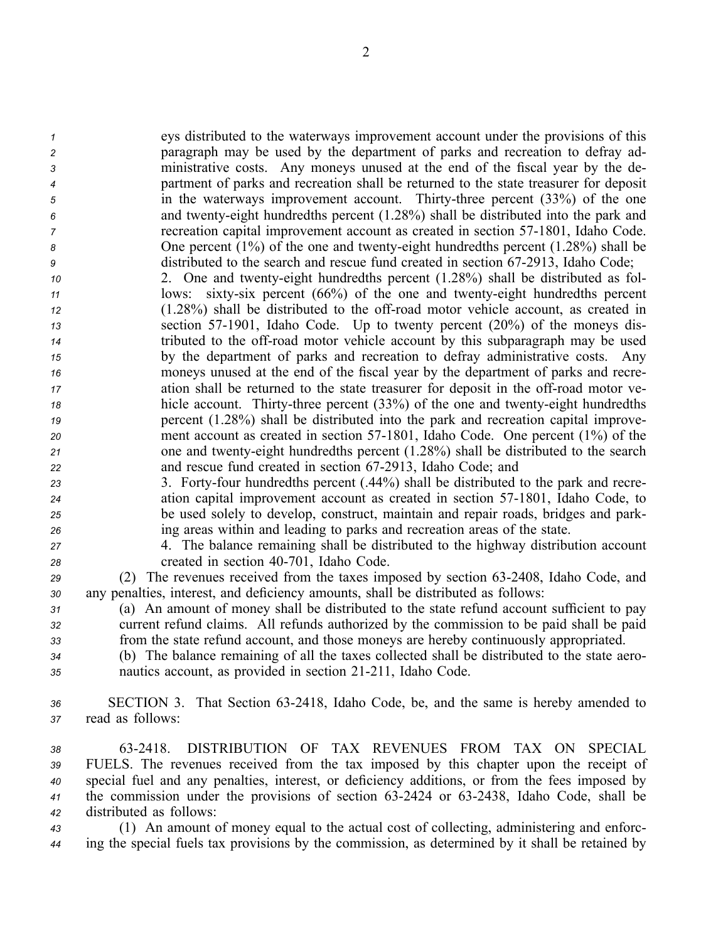eys distributed to the waterways improvement account under the provisions of this paragraph may be used by the department of parks and recreation to defray ad- ministrative costs. Any moneys unused at the end of the fiscal year by the de- partment of parks and recreation shall be returned to the state treasurer for deposit in the waterways improvement account. Thirtythree percen<sup>t</sup> (33%) of the one and twentyeight hundredths percen<sup>t</sup> (1.28%) shall be distributed into the park and recreation capital improvement account as created in section 571801, Idaho Code. 8 One percent (1%) of the one and twenty-eight hundredths percent (1.28%) shall be distributed to the search and rescue fund created in section 67-2913, Idaho Code;

 2. One and twentyeight hundredths percen<sup>t</sup> (1.28%) shall be distributed as fol- lows: sixty-six percent (66%) of the one and twenty-eight hundredths percent (1.28%) shall be distributed to the offroad motor vehicle account, as created in section 57-1901, Idaho Code. Up to twenty percent (20%) of the moneys dis- tributed to the offroad motor vehicle account by this subparagraph may be used by the department of parks and recreation to defray administrative costs. Any moneys unused at the end of the fiscal year by the department of parks and recre- ation shall be returned to the state treasurer for deposit in the off-road motor ve- hicle account. Thirty-three percent (33%) of the one and twenty-eight hundredths percen<sup>t</sup> (1.28%) shall be distributed into the park and recreation capital improve- ment account as created in section 57-1801, Idaho Code. One percent (1%) of the 21 one and twenty-eight hundredths percent (1.28%) shall be distributed to the search 22 and rescue fund created in section 67-2913, Idaho Code; and

23 3. Forty-four hundredths percent (.44%) shall be distributed to the park and recre- ation capital improvement account as created in section 571801, Idaho Code, to be used solely to develop, construct, maintain and repair roads, bridges and park-ing areas within and leading to parks and recreation areas of the state.

*<sup>27</sup>* 4. The balance remaining shall be distributed to the highway distribution account z<sup>8</sup> created in section 40-701, Idaho Code.

*<sup>29</sup>* (2) The revenues received from the taxes imposed by section 632408, Idaho Code, and *<sup>30</sup>* any penalties, interest, and deficiency amounts, shall be distributed as follows:

*<sup>31</sup>* (a) An amount of money shall be distributed to the state refund account sufficient to pay *<sup>32</sup>* current refund claims. All refunds authorized by the commission to be paid shall be paid *<sup>33</sup>* from the state refund account, and those moneys are hereby continuously appropriated.

*<sup>34</sup>* (b) The balance remaining of all the taxes collected shall be distributed to the state aero-*35* **nautics account, as provided in section 21-211, Idaho Code.** 

*<sup>36</sup>* SECTION 3. That Section 632418, Idaho Code, be, and the same is hereby amended to *<sup>37</sup>* read as follows:

 632418. DISTRIBUTION OF TAX REVENUES FROM TAX ON SPECIAL FUELS. The revenues received from the tax imposed by this chapter upon the receipt of special fuel and any penalties, interest, or deficiency additions, or from the fees imposed by 41 the commission under the provisions of section 63-2424 or 63-2438, Idaho Code, shall be distributed as follows:

*<sup>43</sup>* (1) An amount of money equal to the actual cost of collecting, administering and enforc-*<sup>44</sup>* ing the special fuels tax provisions by the commission, as determined by it shall be retained by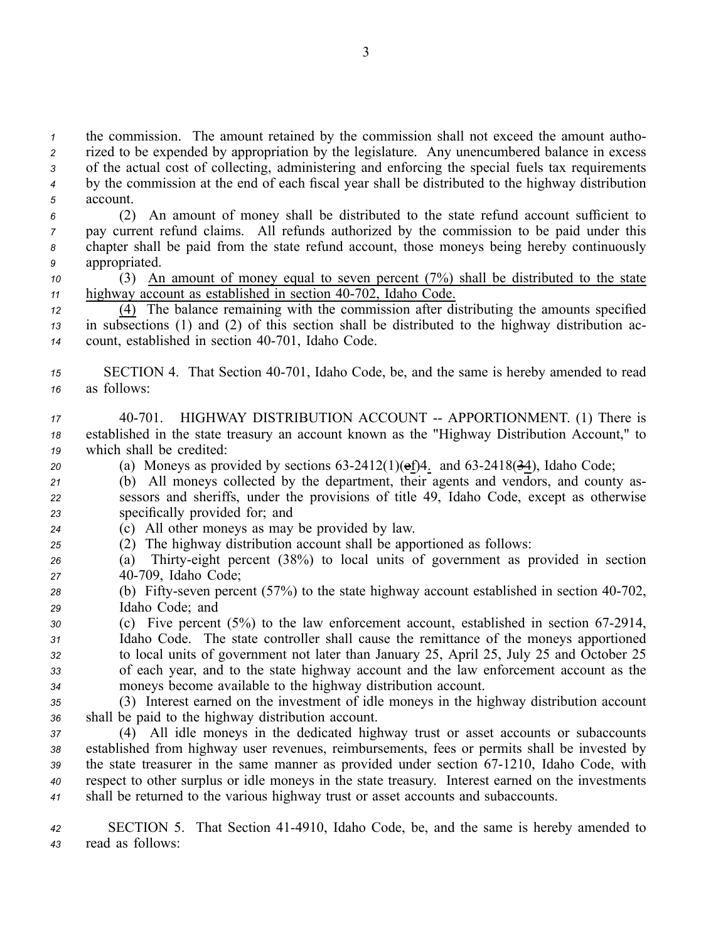the commission. The amount retained by the commission shall not exceed the amount autho- rized to be expended by appropriation by the legislature. Any unencumbered balance in excess of the actual cost of collecting, administering and enforcing the special fuels tax requirements by the commission at the end of each fiscal year shall be distributed to the highway distribution *5* account. (2) An amount of money shall be distributed to the state refund account sufficient to pay current refund claims. All refunds authorized by the commission to be paid under this chapter shall be paid from the state refund account, those moneys being hereby continuously appropriated. (3) An amount of money equal to seven percen<sup>t</sup> (7%) shall be distributed to the state highway account as established in section 40-702, Idaho Code. (4) The balance remaining with the commission after distributing the amounts specified in subsections (1) and (2) of this section shall be distributed to the highway distribution ac-14 count, established in section 40-701, Idaho Code. 15 SECTION 4. That Section 40-701, Idaho Code, be, and the same is hereby amended to read as follows: 17 40-701. HIGHWAY DISTRIBUTION ACCOUNT -- APPORTIONMENT. (1) There is established in the state treasury an account known as the "Highway Distribution Account," to which shall be credited: 20 (a) Moneys as provided by sections  $63-2412(1)(ef)4$ . and  $63-2418(3-4)$ , Idaho Code; (b) All moneys collected by the department, their agents and vendors, and county as- sessors and sheriffs, under the provisions of title 49, Idaho Code, excep<sup>t</sup> as otherwise specifically provided for; and (c) All other moneys as may be provided by law. (2) The highway distribution account shall be apportioned as follows: (a) Thirtyeight percen<sup>t</sup> (38%) to local units of governmen<sup>t</sup> as provided in section 40709, Idaho Code; (b) Fifty-seven percent (57%) to the state highway account established in section 40-702, Idaho Code; and (c) Five percent (5%) to the law enforcement account, established in section 67-2914, Idaho Code. The state controller shall cause the remittance of the moneys apportioned to local units of governmen<sup>t</sup> not later than January 25, April 25, July 25 and October 25 of each year, and to the state highway account and the law enforcement account as the moneys become available to the highway distribution account. (3) Interest earned on the investment of idle moneys in the highway distribution account shall be paid to the highway distribution account. (4) All idle moneys in the dedicated highway trust or asset accounts or subaccounts established from highway user revenues, reimbursements, fees or permits shall be invested by 39 the state treasurer in the same manner as provided under section 67-1210, Idaho Code, with respec<sup>t</sup> to other surplus or idle moneys in the state treasury. Interest earned on the investments shall be returned to the various highway trust or asset accounts and subaccounts. SECTION 5. That Section 414910, Idaho Code, be, and the same is hereby amended to read as follows:

3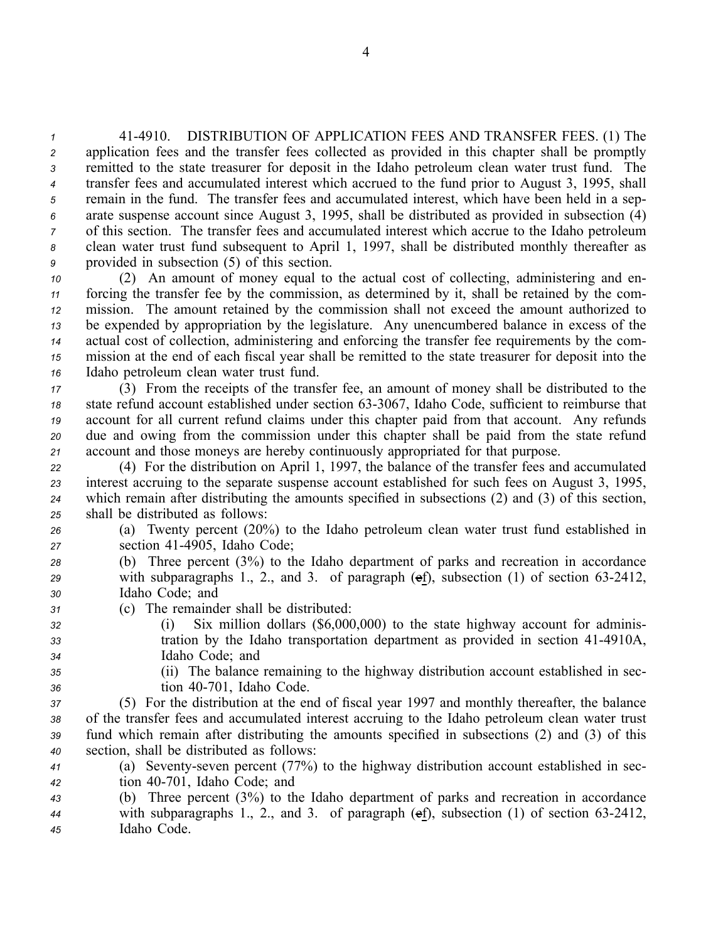414910. DISTRIBUTION OF APPLICATION FEES AND TRANSFER FEES. (1) The application fees and the transfer fees collected as provided in this chapter shall be promptly remitted to the state treasurer for deposit in the Idaho petroleum clean water trust fund. The transfer fees and accumulated interest which accrued to the fund prior to August 3, 1995, shall remain in the fund. The transfer fees and accumulated interest, which have been held in <sup>a</sup> sep- arate suspense account since August 3, 1995, shall be distributed as provided in subsection (4) of this section. The transfer fees and accumulated interest which accrue to the Idaho petroleum clean water trust fund subsequent to April 1, 1997, shall be distributed monthly thereafter as provided in subsection (5) of this section.

 (2) An amount of money equal to the actual cost of collecting, administering and en- forcing the transfer fee by the commission, as determined by it, shall be retained by the com- mission. The amount retained by the commission shall not exceed the amount authorized to be expended by appropriation by the legislature. Any unencumbered balance in excess of the actual cost of collection, administering and enforcing the transfer fee requirements by the com- mission at the end of each fiscal year shall be remitted to the state treasurer for deposit into the Idaho petroleum clean water trust fund.

 (3) From the receipts of the transfer fee, an amount of money shall be distributed to the 18 state refund account established under section 63-3067, Idaho Code, sufficient to reimburse that account for all current refund claims under this chapter paid from that account. Any refunds due and owing from the commission under this chapter shall be paid from the state refund account and those moneys are hereby continuously appropriated for that purpose.

 (4) For the distribution on April 1, 1997, the balance of the transfer fees and accumulated interest accruing to the separate suspense account established for such fees on August 3, 1995, which remain after distributing the amounts specified in subsections (2) and (3) of this section, shall be distributed as follows:

- *<sup>26</sup>* (a) Twenty percen<sup>t</sup> (20%) to the Idaho petroleum clean water trust fund established in *<sup>27</sup>* section 414905, Idaho Code;
- *<sup>28</sup>* (b) Three percen<sup>t</sup> (3%) to the Idaho department of parks and recreation in accordance *29* with subparagraphs 1., 2., and 3. of paragraph (ef), subsection (1) of section 63-2412, *<sup>30</sup>* Idaho Code; and
- *<sup>31</sup>* (c) The remainder shall be distributed:
- *<sup>32</sup>* (i) Six million dollars (\$6,000,000) to the state highway account for adminis-*33* tration by the Idaho transportation department as provided in section 41-4910A, *<sup>34</sup>* Idaho Code; and
	-
- *<sup>35</sup>* (ii) The balance remaining to the highway distribution account established in sec-*<sup>36</sup>* tion 40701, Idaho Code.
- *<sup>37</sup>* (5) For the distribution at the end of fiscal year 1997 and monthly thereafter, the balance *<sup>38</sup>* of the transfer fees and accumulated interest accruing to the Idaho petroleum clean water trust *<sup>39</sup>* fund which remain after distributing the amounts specified in subsections (2) and (3) of this *<sup>40</sup>* section, shall be distributed as follows:
- *<sup>41</sup>* (a) Seventyseven percen<sup>t</sup> (77%) to the highway distribution account established in sec-*<sup>42</sup>* tion 40701, Idaho Code; and
- *<sup>43</sup>* (b) Three percen<sup>t</sup> (3%) to the Idaho department of parks and recreation in accordance *<sup>44</sup>* with subparagraphs 1., 2., and 3. of paragraph (ef), subsection (1) of section 632412, *<sup>45</sup>* Idaho Code.